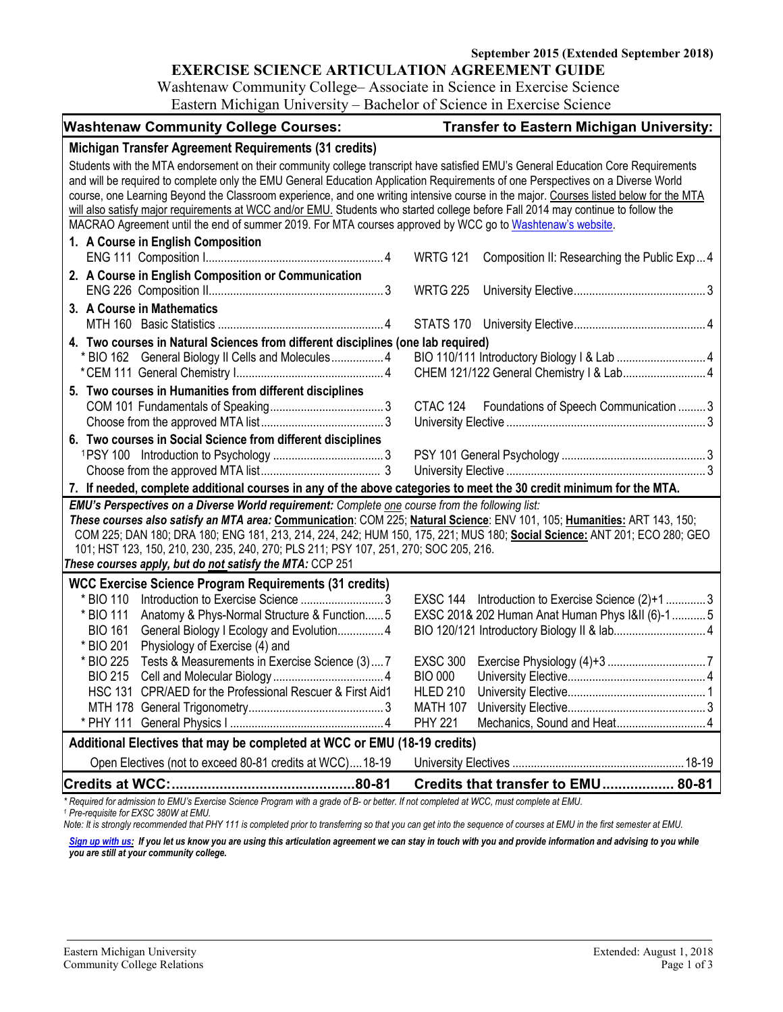**September 2015 (Extended September 2018)**

### **EXERCISE SCIENCE ARTICULATION AGREEMENT GUIDE**

Washtenaw Community College– Associate in Science in Exercise Science Eastern Michigan University – Bachelor of Science in Exercise Science

| <b>Washtenaw Community College Courses:</b>                                                                                                                                                                                                                                                                                                                                                                                                                                                                                                                                                                                                                   | <b>Transfer to Eastern Michigan University:</b>                                                                                           |
|---------------------------------------------------------------------------------------------------------------------------------------------------------------------------------------------------------------------------------------------------------------------------------------------------------------------------------------------------------------------------------------------------------------------------------------------------------------------------------------------------------------------------------------------------------------------------------------------------------------------------------------------------------------|-------------------------------------------------------------------------------------------------------------------------------------------|
| Michigan Transfer Agreement Requirements (31 credits)                                                                                                                                                                                                                                                                                                                                                                                                                                                                                                                                                                                                         |                                                                                                                                           |
| Students with the MTA endorsement on their community college transcript have satisfied EMU's General Education Core Requirements<br>and will be required to complete only the EMU General Education Application Requirements of one Perspectives on a Diverse World<br>course, one Learning Beyond the Classroom experience, and one writing intensive course in the major. Courses listed below for the MTA<br>will also satisfy major requirements at WCC and/or EMU. Students who started college before Fall 2014 may continue to follow the<br>MACRAO Agreement until the end of summer 2019. For MTA courses approved by WCC go to Washtenaw's website. |                                                                                                                                           |
| 1. A Course in English Composition                                                                                                                                                                                                                                                                                                                                                                                                                                                                                                                                                                                                                            | <b>WRTG 121</b><br>Composition II: Researching the Public Exp4                                                                            |
| 2. A Course in English Composition or Communication                                                                                                                                                                                                                                                                                                                                                                                                                                                                                                                                                                                                           | <b>WRTG 225</b>                                                                                                                           |
| 3. A Course in Mathematics                                                                                                                                                                                                                                                                                                                                                                                                                                                                                                                                                                                                                                    |                                                                                                                                           |
| 4. Two courses in Natural Sciences from different disciplines (one lab required)<br>* BIO 162 General Biology II Cells and Molecules 4                                                                                                                                                                                                                                                                                                                                                                                                                                                                                                                        | CHEM 121/122 General Chemistry   & Lab 4                                                                                                  |
| 5. Two courses in Humanities from different disciplines                                                                                                                                                                                                                                                                                                                                                                                                                                                                                                                                                                                                       | CTAC 124 Foundations of Speech Communication  3                                                                                           |
| 6. Two courses in Social Science from different disciplines                                                                                                                                                                                                                                                                                                                                                                                                                                                                                                                                                                                                   |                                                                                                                                           |
| 7. If needed, complete additional courses in any of the above categories to meet the 30 credit minimum for the MTA.                                                                                                                                                                                                                                                                                                                                                                                                                                                                                                                                           |                                                                                                                                           |
| EMU's Perspectives on a Diverse World requirement: Complete one course from the following list:<br>These courses also satisfy an MTA area: Communication: COM 225; Natural Science: ENV 101, 105; Humanities: ART 143, 150;<br>COM 225; DAN 180; DRA 180; ENG 181, 213, 214, 224, 242; HUM 150, 175, 221; MUS 180; Social Science: ANT 201; ECO 280; GEO<br>101; HST 123, 150, 210, 230, 235, 240, 270; PLS 211; PSY 107, 251, 270; SOC 205, 216.<br>These courses apply, but do not satisfy the MTA: CCP 251                                                                                                                                                 |                                                                                                                                           |
| <b>WCC Exercise Science Program Requirements (31 credits)</b><br>* BIO 110<br>* BIO 111<br>Anatomy & Phys-Normal Structure & Function 5<br><b>BIO 161</b><br>General Biology I Ecology and Evolution 4<br>* BIO 201<br>Physiology of Exercise (4) and<br>* BIO 225<br>Tests & Measurements in Exercise Science (3) 7<br><b>BIO 215</b><br>HSC 131 CPR/AED for the Professional Rescuer & First Aid1                                                                                                                                                                                                                                                           | EXSC 144 Introduction to Exercise Science (2)+1 3<br>EXSC 201& 202 Human Anat Human Phys I&II (6)-15<br><b>BIO 000</b><br><b>HLED 210</b> |
|                                                                                                                                                                                                                                                                                                                                                                                                                                                                                                                                                                                                                                                               | <b>MATH 107</b><br>Mechanics, Sound and Heat 4<br><b>PHY 221</b>                                                                          |
| Additional Electives that may be completed at WCC or EMU (18-19 credits)                                                                                                                                                                                                                                                                                                                                                                                                                                                                                                                                                                                      |                                                                                                                                           |
| Open Electives (not to exceed 80-81 credits at WCC)18-19                                                                                                                                                                                                                                                                                                                                                                                                                                                                                                                                                                                                      |                                                                                                                                           |
|                                                                                                                                                                                                                                                                                                                                                                                                                                                                                                                                                                                                                                                               | Credits that transfer to EMU 80-81                                                                                                        |

*\* Required for admission to EMU's Exercise Science Program with a grade of B- or better. If not completed at WCC, must complete at EMU. 1 Pre-requisite for EXSC 380W at EMU.*

*Note: It is strongly recommended that PHY 111 is completed prior to transferring so that you can get into the sequence of courses at EMU in the first semester at EMU.*

[Sign up with us:](https://www.emich.edu/ccr/articulation-agreements/signup.php) If you let us know you are using this articulation agreement we can stay in touch with you and provide information and advising to you while *you are still at your community college.*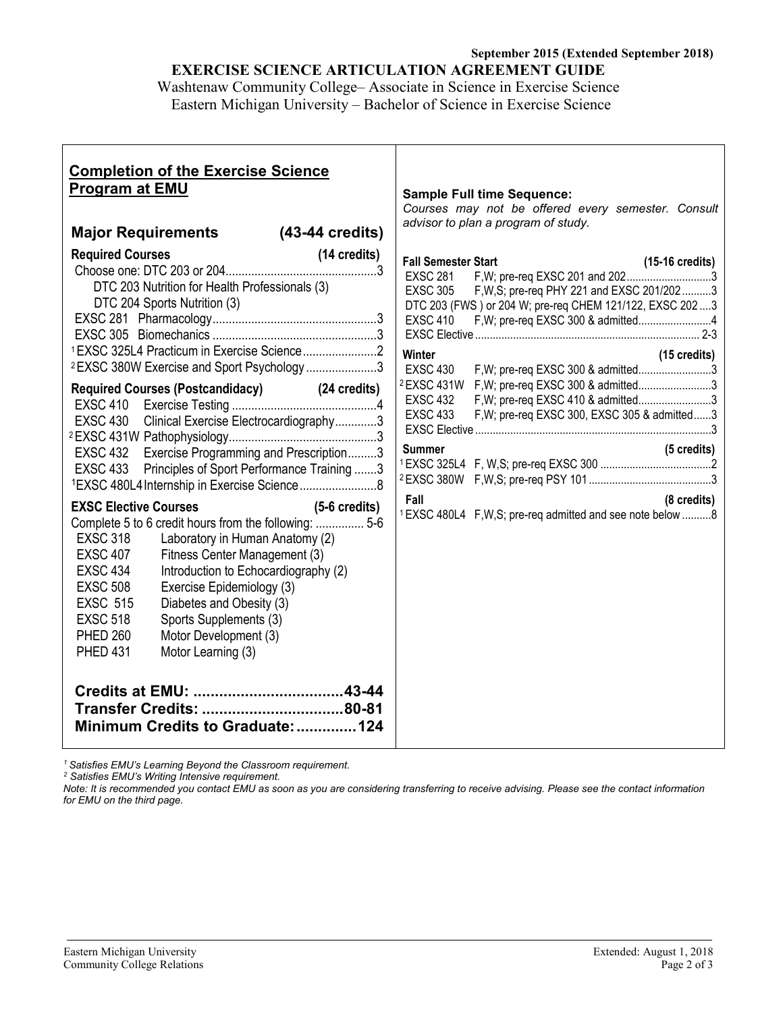# **September 2015 (Extended September 2018) EXERCISE SCIENCE ARTICULATION AGREEMENT GUIDE**

Washtenaw Community College– Associate in Science in Exercise Science Eastern Michigan University – Bachelor of Science in Exercise Science

| <b>Sample Full time Sequence:</b><br>Courses may not be offered every semester. Consult<br>advisor to plan a program of study.                                                                                                                                                                                                                                                                                                                                                                                                                                                                                                                                                                                                  |
|---------------------------------------------------------------------------------------------------------------------------------------------------------------------------------------------------------------------------------------------------------------------------------------------------------------------------------------------------------------------------------------------------------------------------------------------------------------------------------------------------------------------------------------------------------------------------------------------------------------------------------------------------------------------------------------------------------------------------------|
| <b>Fall Semester Start</b><br>$(15-16 \text{ credits})$<br>F, W; pre-req EXSC 201 and 2023<br><b>EXSC 281</b><br><b>EXSC 305</b><br>F, W, S; pre-req PHY 221 and EXSC 201/202 3<br>DTC 203 (FWS) or 204 W; pre-req CHEM 121/122, EXSC 202  3<br><b>EXSC 410</b><br>F, W; pre-req EXSC 300 & admitted4<br>Winter<br>$(15 \text{ credits})$<br>F, W; pre-req EXSC 300 & admitted3<br><b>EXSC 430</b><br><sup>2</sup> EXSC 431W<br>F, W; pre-req EXSC 300 & admitted3<br>F, W; pre-req EXSC 410 & admitted3<br><b>EXSC 432</b><br><b>EXSC 433</b><br>F, W; pre-req EXSC 300, EXSC 305 & admitted3<br>(5 credits)<br><b>Summer</b><br>Fall<br>(8 credits)<br><sup>1</sup> EXSC 480L4 F, W, S; pre-req admitted and see note below 8 |
|                                                                                                                                                                                                                                                                                                                                                                                                                                                                                                                                                                                                                                                                                                                                 |

*<sup>1</sup> Satisfies EMU's Learning Beyond the Classroom requirement.*

*<sup>2</sup> Satisfies EMU's Writing Intensive requirement.*

*Note: It is recommended you contact EMU as soon as you are considering transferring to receive advising. Please see the contact information for EMU on the third page.*